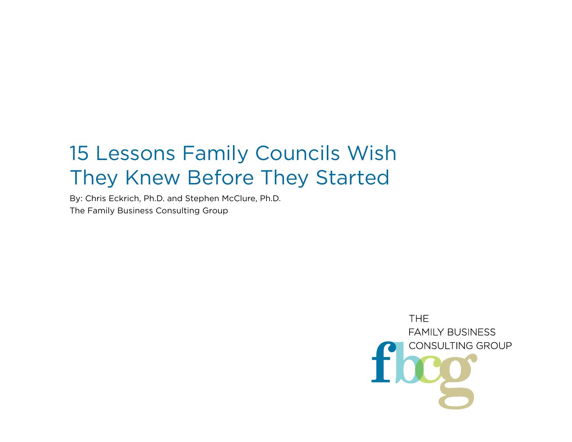## 15 Lessons Family Councils Wish They Knew Before They Started

By: Chris Eckrich, Ph.D. and Stephen McClure, Ph.D. The Family Business Consulting Group

> **THE FAMILY BUSINESS CONSULTING GROUP**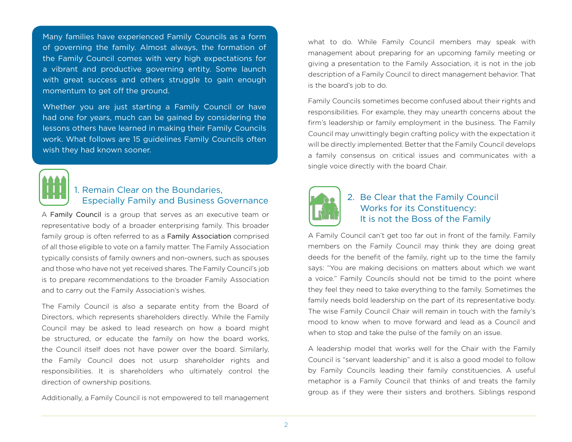Many families have experienced Family Councils as a form of governing the family. Almost always, the formation of the Family Council comes with very high expectations for a vibrant and productive governing entity. Some launch with great success and others struggle to gain enough momentum to get off the ground.

Whether you are just starting a Family Council or have had one for years, much can be gained by considering the lessons others have learned in making their Family Councils work. What follows are 15 guidelines Family Councils often wish they had known sooner.



#### 1. Remain Clear on the Boundaries, Especially Family and Business Governance

A Family Council is a group that serves as an executive team or representative body of a broader enterprising family. This broader family group is often referred to as a Family Association comprised of all those eligible to vote on a family matter. The Family Association typically consists of family owners and non-owners, such as spouses and those who have not yet received shares. The Family Council's job is to prepare recommendations to the broader Family Association and to carry out the Family Association's wishes.

The Family Council is also a separate entity from the Board of Directors, which represents shareholders directly. While the Family Council may be asked to lead research on how a board might be structured, or educate the family on how the board works, the Council itself does not have power over the board. Similarly, the Family Council does not usurp shareholder rights and responsibilities. It is shareholders who ultimately control the direction of ownership positions.

Additionally, a Family Council is not empowered to tell management

what to do. While Family Council members may speak with management about preparing for an upcoming family meeting or giving a presentation to the Family Association, it is not in the job description of a Family Council to direct management behavior. That is the board's job to do.

Family Councils sometimes become confused about their rights and responsibilities. For example, they may unearth concerns about the firm's leadership or family employment in the business. The Family Council may unwittingly begin crafting policy with the expectation it will be directly implemented. Better that the Family Council develops a family consensus on critical issues and communicates with a single voice directly with the board Chair.



#### 2. Be Clear that the Family Council Works for its Constituency: It is not the Boss of the Family

A Family Council can't get too far out in front of the family. Family members on the Family Council may think they are doing great deeds for the benefit of the family, right up to the time the family says: "You are making decisions on matters about which we want a voice." Family Councils should not be timid to the point where they feel they need to take everything to the family. Sometimes the family needs bold leadership on the part of its representative body. The wise Family Council Chair will remain in touch with the family's mood to know when to move forward and lead as a Council and when to stop and take the pulse of the family on an issue.

A leadership model that works well for the Chair with the Family Council is "servant leadership" and it is also a good model to follow by Family Councils leading their family constituencies. A useful metaphor is a Family Council that thinks of and treats the family group as if they were their sisters and brothers. Siblings respond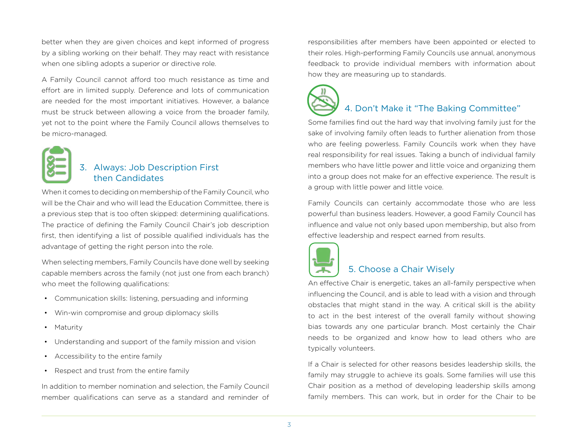better when they are given choices and kept informed of progress by a sibling working on their behalf. They may react with resistance when one sibling adopts a superior or directive role.

A Family Council cannot afford too much resistance as time and effort are in limited supply. Deference and lots of communication are needed for the most important initiatives. However, a balance must be struck between allowing a voice from the broader family, yet not to the point where the Family Council allows themselves to be micro-managed.

#### 3. Always: Job Description First then Candidates

When it comes to deciding on membership of the Family Council, who will be the Chair and who will lead the Education Committee, there is a previous step that is too often skipped: determining qualifications. The practice of defining the Family Council Chair's job description first, then identifying a list of possible qualified individuals has the advantage of getting the right person into the role.

When selecting members, Family Councils have done well by seeking capable members across the family (not just one from each branch) who meet the following qualifications:

- Communication skills: listening, persuading and informing
- Win-win compromise and group diplomacy skills
- Maturity
- Understanding and support of the family mission and vision
- Accessibility to the entire family
- Respect and trust from the entire family

In addition to member nomination and selection, the Family Council member qualifications can serve as a standard and reminder of responsibilities after members have been appointed or elected to their roles. High-performing Family Councils use annual, anonymous feedback to provide individual members with information about how they are measuring up to standards.



#### 4. Don't Make it "The Baking Committee"

Some families find out the hard way that involving family just for the sake of involving family often leads to further alienation from those who are feeling powerless. Family Councils work when they have real responsibility for real issues. Taking a bunch of individual family members who have little power and little voice and organizing them into a group does not make for an effective experience. The result is a group with little power and little voice.

Family Councils can certainly accommodate those who are less powerful than business leaders. However, a good Family Council has influence and value not only based upon membership, but also from effective leadership and respect earned from results.



#### 5. Choose a Chair Wisely

An effective Chair is energetic, takes an all-family perspective when influencing the Council, and is able to lead with a vision and through obstacles that might stand in the way. A critical skill is the ability to act in the best interest of the overall family without showing bias towards any one particular branch. Most certainly the Chair needs to be organized and know how to lead others who are typically volunteers.

If a Chair is selected for other reasons besides leadership skills, the family may struggle to achieve its goals. Some families will use this Chair position as a method of developing leadership skills among family members. This can work, but in order for the Chair to be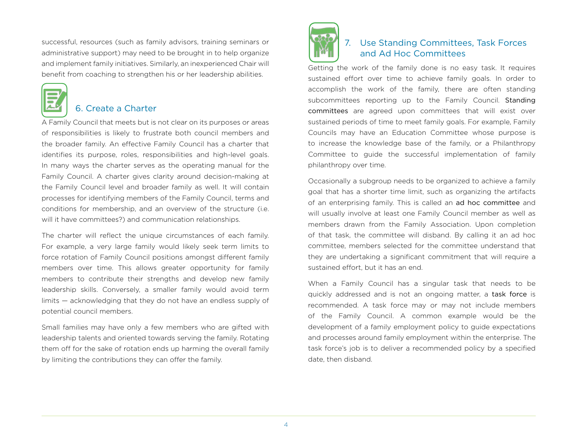successful, resources (such as family advisors, training seminars or administrative support) may need to be brought in to help organize and implement family initiatives. Similarly, an inexperienced Chair will benefit from coaching to strengthen his or her leadership abilities.



#### 6. Create a Charter

A Family Council that meets but is not clear on its purposes or areas of responsibilities is likely to frustrate both council members and the broader family. An effective Family Council has a charter that identifies its purpose, roles, responsibilities and high-level goals. In many ways the charter serves as the operating manual for the Family Council. A charter gives clarity around decision-making at the Family Council level and broader family as well. It will contain processes for identifying members of the Family Council, terms and conditions for membership, and an overview of the structure (i.e. will it have committees?) and communication relationships.

The charter will reflect the unique circumstances of each family. For example, a very large family would likely seek term limits to force rotation of Family Council positions amongst different family members over time. This allows greater opportunity for family members to contribute their strengths and develop new family leadership skills. Conversely, a smaller family would avoid term limits — acknowledging that they do not have an endless supply of potential council members.

Small families may have only a few members who are gifted with leadership talents and oriented towards serving the family. Rotating them off for the sake of rotation ends up harming the overall family by limiting the contributions they can offer the family.



#### 7. Use Standing Committees, Task Forces and Ad Hoc Committees

Getting the work of the family done is no easy task. It requires sustained effort over time to achieve family goals. In order to accomplish the work of the family, there are often standing subcommittees reporting up to the Family Council. Standing committees are agreed upon committees that will exist over sustained periods of time to meet family goals. For example, Family Councils may have an Education Committee whose purpose is to increase the knowledge base of the family, or a Philanthropy Committee to guide the successful implementation of family philanthropy over time.

Occasionally a subgroup needs to be organized to achieve a family goal that has a shorter time limit, such as organizing the artifacts of an enterprising family. This is called an ad hoc committee and will usually involve at least one Family Council member as well as members drawn from the Family Association. Upon completion of that task, the committee will disband. By calling it an ad hoc committee, members selected for the committee understand that they are undertaking a significant commitment that will require a sustained effort, but it has an end.

When a Family Council has a singular task that needs to be quickly addressed and is not an ongoing matter, a task force is recommended. A task force may or may not include members of the Family Council. A common example would be the development of a family employment policy to guide expectations and processes around family employment within the enterprise. The task force's job is to deliver a recommended policy by a specified date, then disband.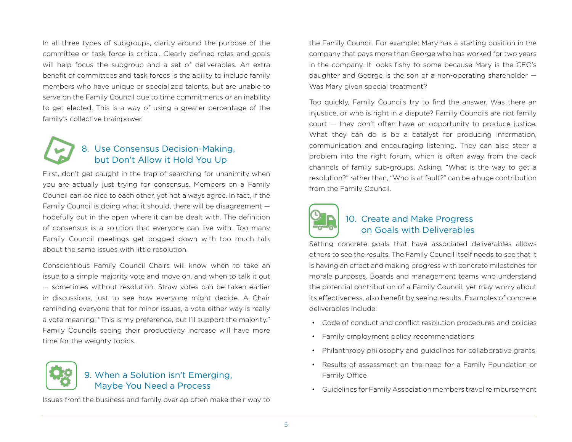In all three types of subgroups, clarity around the purpose of the committee or task force is critical. Clearly defined roles and goals will help focus the subgroup and a set of deliverables. An extra benefit of committees and task forces is the ability to include family members who have unique or specialized talents, but are unable to serve on the Family Council due to time commitments or an inability to get elected. This is a way of using a greater percentage of the family's collective brainpower.

### 8. Use Consensus Decision-Making, but Don't Allow it Hold You Up

First, don't get caught in the trap of searching for unanimity when you are actually just trying for consensus. Members on a Family Council can be nice to each other, yet not always agree. In fact, if the Family Council is doing what it should, there will be disagreement hopefully out in the open where it can be dealt with. The definition of consensus is a solution that everyone can live with. Too many Family Council meetings get bogged down with too much talk about the same issues with little resolution.

Conscientious Family Council Chairs will know when to take an issue to a simple majority vote and move on, and when to talk it out — sometimes without resolution. Straw votes can be taken earlier in discussions, just to see how everyone might decide. A Chair reminding everyone that for minor issues, a vote either way is really a vote meaning: "This is my preference, but I'll support the majority." Family Councils seeing their productivity increase will have more time for the weighty topics.



#### 9. When a Solution isn't Emerging, Maybe You Need a Process

Issues from the business and family overlap often make their way to

the Family Council. For example: Mary has a starting position in the company that pays more than George who has worked for two years in the company. It looks fishy to some because Mary is the CEO's daughter and George is the son of a non-operating shareholder — Was Mary given special treatment?

Too quickly, Family Councils try to find the answer. Was there an injustice, or who is right in a dispute? Family Councils are not family court — they don't often have an opportunity to produce justice. What they can do is be a catalyst for producing information, communication and encouraging listening. They can also steer a problem into the right forum, which is often away from the back channels of family sub-groups. Asking, "What is the way to get a resolution?" rather than, "Who is at fault?" can be a huge contribution from the Family Council.



#### 10. Create and Make Progress on Goals with Deliverables

Setting concrete goals that have associated deliverables allows others to see the results. The Family Council itself needs to see that it is having an effect and making progress with concrete milestones for morale purposes. Boards and management teams who understand the potential contribution of a Family Council, yet may worry about its effectiveness, also benefit by seeing results. Examples of concrete deliverables include:

- Code of conduct and conflict resolution procedures and policies
- Family employment policy recommendations
- Philanthropy philosophy and guidelines for collaborative grants
- Results of assessment on the need for a Family Foundation or Family Office
- Guidelines for Family Association members travel reimbursement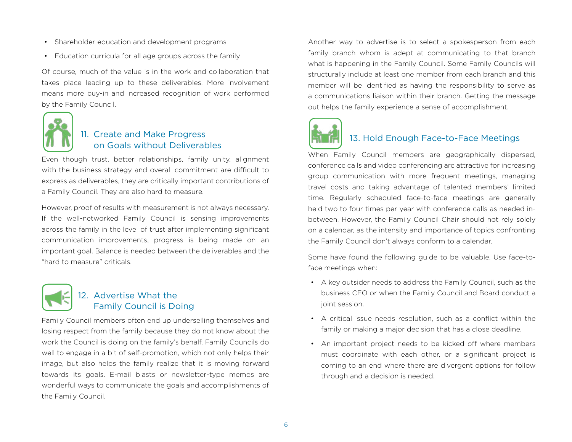- Shareholder education and development programs
- Education curricula for all age groups across the family

Of course, much of the value is in the work and collaboration that takes place leading up to these deliverables. More involvement means more buy-in and increased recognition of work performed by the Family Council.



#### 11. Create and Make Progress on Goals without Deliverables

Even though trust, better relationships, family unity, alignment with the business strategy and overall commitment are difficult to express as deliverables, they are critically important contributions of a Family Council. They are also hard to measure.

However, proof of results with measurement is not always necessary. If the well-networked Family Council is sensing improvements across the family in the level of trust after implementing significant communication improvements, progress is being made on an important goal. Balance is needed between the deliverables and the "hard to measure" criticals.



#### 12. Advertise What the Family Council is Doing

Family Council members often end up underselling themselves and losing respect from the family because they do not know about the work the Council is doing on the family's behalf. Family Councils do well to engage in a bit of self-promotion, which not only helps their image, but also helps the family realize that it is moving forward towards its goals. E-mail blasts or newsletter-type memos are wonderful ways to communicate the goals and accomplishments of the Family Council.

Another way to advertise is to select a spokesperson from each family branch whom is adept at communicating to that branch what is happening in the Family Council. Some Family Councils will structurally include at least one member from each branch and this member will be identified as having the responsibility to serve as a communications liaison within their branch. Getting the message out helps the family experience a sense of accomplishment.



#### 13. Hold Enough Face-to-Face Meetings

When Family Council members are geographically dispersed, conference calls and video conferencing are attractive for increasing group communication with more frequent meetings, managing travel costs and taking advantage of talented members' limited time. Regularly scheduled face-to-face meetings are generally held two to four times per year with conference calls as needed inbetween. However, the Family Council Chair should not rely solely on a calendar, as the intensity and importance of topics confronting the Family Council don't always conform to a calendar.

Some have found the following guide to be valuable. Use face-toface meetings when:

- A key outsider needs to address the Family Council, such as the business CEO or when the Family Council and Board conduct a joint session.
- A critical issue needs resolution, such as a conflict within the family or making a major decision that has a close deadline.
- An important project needs to be kicked off where members must coordinate with each other, or a significant project is coming to an end where there are divergent options for follow through and a decision is needed.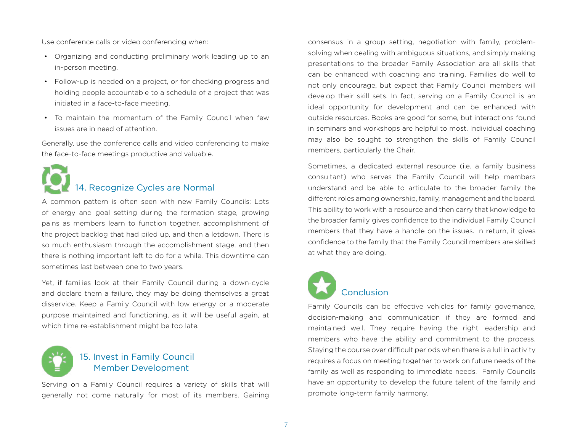Use conference calls or video conferencing when:

- Organizing and conducting preliminary work leading up to an in-person meeting.
- Follow-up is needed on a project, or for checking progress and holding people accountable to a schedule of a project that was initiated in a face-to-face meeting.
- To maintain the momentum of the Family Council when few issues are in need of attention.

Generally, use the conference calls and video conferencing to make the face-to-face meetings productive and valuable.

# 14. Recognize Cycles are Normal

A common pattern is often seen with new Family Councils: Lots of energy and goal setting during the formation stage, growing pains as members learn to function together, accomplishment of the project backlog that had piled up, and then a letdown. There is so much enthusiasm through the accomplishment stage, and then there is nothing important left to do for a while. This downtime can sometimes last between one to two years.

Yet, if families look at their Family Council during a down-cycle and declare them a failure, they may be doing themselves a great disservice. Keep a Family Council with low energy or a moderate purpose maintained and functioning, as it will be useful again, at which time re-establishment might be too late.



#### 15. Invest in Family Council Member Development

Serving on a Family Council requires a variety of skills that will generally not come naturally for most of its members. Gaining

consensus in a group setting, negotiation with family, problemsolving when dealing with ambiguous situations, and simply making presentations to the broader Family Association are all skills that can be enhanced with coaching and training. Families do well to not only encourage, but expect that Family Council members will develop their skill sets. In fact, serving on a Family Council is an ideal opportunity for development and can be enhanced with outside resources. Books are good for some, but interactions found in seminars and workshops are helpful to most. Individual coaching may also be sought to strengthen the skills of Family Council members, particularly the Chair.

Sometimes, a dedicated external resource (i.e. a family business consultant) who serves the Family Council will help members understand and be able to articulate to the broader family the different roles among ownership, family, management and the board. This ability to work with a resource and then carry that knowledge to the broader family gives confidence to the individual Family Council members that they have a handle on the issues. In return, it gives confidence to the family that the Family Council members are skilled at what they are doing.



Family Councils can be effective vehicles for family governance, decision-making and communication if they are formed and maintained well. They require having the right leadership and members who have the ability and commitment to the process. Staying the course over difficult periods when there is a lull in activity requires a focus on meeting together to work on future needs of the family as well as responding to immediate needs. Family Councils have an opportunity to develop the future talent of the family and promote long-term family harmony.